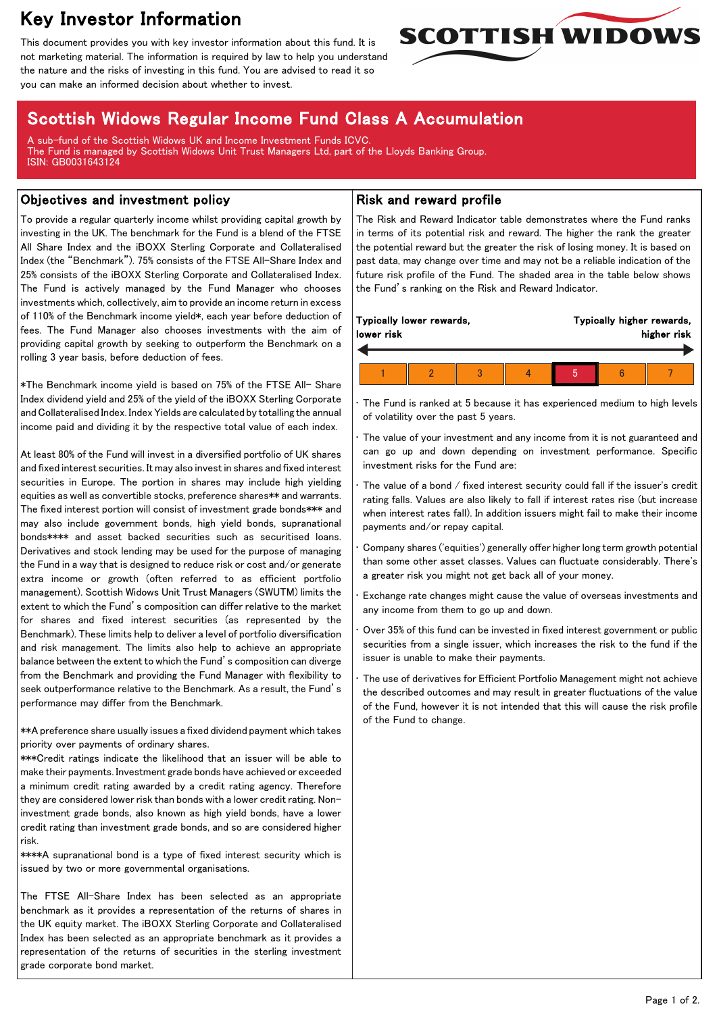# Key Investor Information

This document provides you with key investor information about this fund. It is not marketing material. The information is required by law to help you understand the nature and the risks of investing in this fund. You are advised to read it so you can make an informed decision about whether to invest.



## Scottish Widows Regular Income Fund Class A Accumulation

A sub-fund of the Scottish Widows UK and Income Investment Funds ICVC. The Fund is managed by Scottish Widows Unit Trust Managers Ltd, part of the Lloyds Banking Group. ISIN: GB0031643124

#### Objectives and investment policy

To provide a regular quarterly income whilst providing capital growth by investing in the UK. The benchmark for the Fund is a blend of the FTSE All Share Index and the iBOXX Sterling Corporate and Collateralised Index (the "Benchmark"). 75% consists of the FTSE All-Share Index and 25% consists of the iBOXX Sterling Corporate and Collateralised Index. The Fund is actively managed by the Fund Manager who chooses investments which, collectively, aim to provide an income return in excess of 110% of the Benchmark income yield\*, each year before deduction of fees. The Fund Manager also chooses investments with the aim of providing capital growth by seeking to outperform the Benchmark on a rolling 3 year basis, before deduction of fees.

\*The Benchmark income yield is based on 75% of the FTSE All- Share Index dividend yield and 25% of the yield of the iBOXX Sterling Corporate and Collateralised Index. Index Yields are calculated by totalling the annual income paid and dividing it by the respective total value of each index.

At least 80% of the Fund will invest in a diversified portfolio of UK shares and fixed interest securities. It may also invest in shares and fixed interest securities in Europe. The portion in shares may include high yielding equities as well as convertible stocks, preference shares\*\* and warrants. The fixed interest portion will consist of investment grade bonds\*\*\* and may also include government bonds, high yield bonds, supranational bonds\*\*\*\* and asset backed securities such as securitised loans. Derivatives and stock lending may be used for the purpose of managing the Fund in a way that is designed to reduce risk or cost and/or generate extra income or growth (often referred to as efficient portfolio management). Scottish Widows Unit Trust Managers (SWUTM) limits the extent to which the Fund's composition can differ relative to the market for shares and fixed interest securities (as represented by the Benchmark). These limits help to deliver a level of portfolio diversification and risk management. The limits also help to achieve an appropriate balance between the extent to which the Fund's composition can diverge from the Benchmark and providing the Fund Manager with flexibility to seek outperformance relative to the Benchmark. As a result, the Fund's performance may differ from the Benchmark.

\*\*A preference share usually issues a fixed dividend payment which takes priority over payments of ordinary shares.

\*\*\*Credit ratings indicate the likelihood that an issuer will be able to make their payments. Investment grade bonds have achieved or exceeded a minimum credit rating awarded by a credit rating agency. Therefore they are considered lower risk than bonds with a lower credit rating. Noninvestment grade bonds, also known as high yield bonds, have a lower credit rating than investment grade bonds, and so are considered higher risk.

\*\*\*\*A supranational bond is a type of fixed interest security which is issued by two or more governmental organisations.

The FTSE All-Share Index has been selected as an appropriate benchmark as it provides a representation of the returns of shares in the UK equity market. The iBOXX Sterling Corporate and Collateralised Index has been selected as an appropriate benchmark as it provides a representation of the returns of securities in the sterling investment grade corporate bond market.

#### Risk and reward profile

The Risk and Reward Indicator table demonstrates where the Fund ranks in terms of its potential risk and reward. The higher the rank the greater the potential reward but the greater the risk of losing money. It is based on past data, may change over time and may not be a reliable indication of the future risk profile of the Fund. The shaded area in the table below shows the Fund's ranking on the Risk and Reward Indicator.

| lower risk | Typically lower rewards, |  | Typically higher rewards,<br>higher risk |  |  |  |
|------------|--------------------------|--|------------------------------------------|--|--|--|
|            |                          |  |                                          |  |  |  |
|            |                          |  |                                          |  |  |  |

The Fund is ranked at 5 because it has experienced medium to high levels of volatility over the past 5 years.

The value of your investment and any income from it is not guaranteed and can go up and down depending on investment performance. Specific investment risks for the Fund are:

The value of a bond / fixed interest security could fall if the issuer's credit rating falls. Values are also likely to fall if interest rates rise (but increase when interest rates fall). In addition issuers might fail to make their income payments and/or repay capital.

• Company shares ('equities') generally offer higher long term growth potential than some other asset classes. Values can fluctuate considerably. There's a greater risk you might not get back all of your money.

• Exchange rate changes might cause the value of overseas investments and any income from them to go up and down.

• Over 35% of this fund can be invested in fixed interest government or public securities from a single issuer, which increases the risk to the fund if the issuer is unable to make their payments.

The use of derivatives for Efficient Portfolio Management might not achieve the described outcomes and may result in greater fluctuations of the value of the Fund, however it is not intended that this will cause the risk profile of the Fund to change.